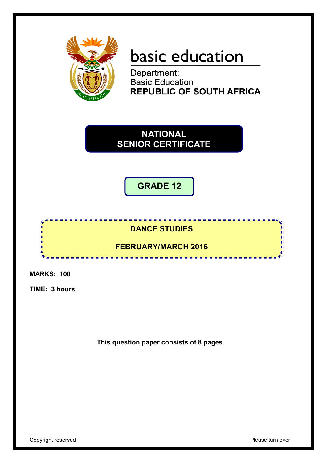

# basic education

Department: **Basic Education<br>REPUBLIC OF SOUTH AFRICA** 

**NATIONAL SENIOR CERTIFICATE**

**GRADE 12**

# <u>. . . . . . . . . . . . . . . . . .</u> **DANCE STUDIES**

# **FEBRUARY/MARCH 2016**

--------------

۰

**MARKS: 100**

4 I. ú, цj. I. I. **ID** 

**TIME: 3 hours**

**This question paper consists of 8 pages.**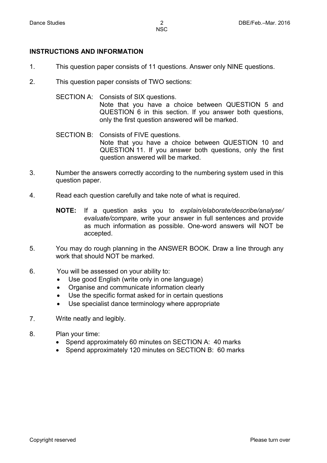#### **INSTRUCTIONS AND INFORMATION**

- 1. This question paper consists of 11 questions. Answer only NINE questions.
- 2. This question paper consists of TWO sections:

SECTION A: Consists of SIX questions. Note that you have a choice between QUESTION 5 and QUESTION 6 in this section. If you answer both questions, only the first question answered will be marked.

- SECTION B: Consists of FIVE questions. Note that you have a choice between QUESTION 10 and QUESTION 11. If you answer both questions, only the first question answered will be marked.
- 3. Number the answers correctly according to the numbering system used in this question paper.
- 4. Read each question carefully and take note of what is required.
	- **NOTE:** If a question asks you to *explain/elaborate/describe/analyse/ evaluate/compare*, write your answer in full sentences and provide as much information as possible. One-word answers will NOT be accepted.
- 5. You may do rough planning in the ANSWER BOOK. Draw a line through any work that should NOT be marked.
- 6. You will be assessed on your ability to:
	- Use good English (write only in one language)
	- Organise and communicate information clearly
	- Use the specific format asked for in certain questions
	- Use specialist dance terminology where appropriate
- 7. Write neatly and legibly.
- 8. Plan your time:
	- Spend approximately 60 minutes on SECTION A: 40 marks
	- Spend approximately 120 minutes on SECTION B: 60 marks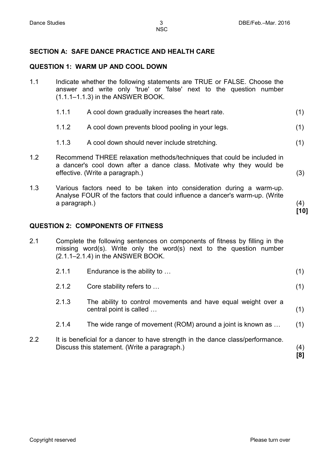(3)

(4) **[10]**

(1)

### **SECTION A: SAFE DANCE PRACTICE AND HEALTH CARE**

#### **QUESTION 1: WARM UP AND COOL DOWN**

- 1.1 Indicate whether the following statements are TRUE or FALSE. Choose the answer and write only 'true' or 'false' next to the question number (1.1.1–1.1.3) in the ANSWER BOOK.
	- 1.1.1 A cool down gradually increases the heart rate. (1)
	- 1.1.2 A cool down prevents blood pooling in your legs. (1)
	- 1.1.3 A cool down should never include stretching. (1)
- 1.2 Recommend THREE relaxation methods/techniques that could be included in a dancer's cool down after a dance class. Motivate why they would be effective. (Write a paragraph.)
- 1.3 Various factors need to be taken into consideration during a warm-up. Analyse FOUR of the factors that could influence a dancer's warm-up. (Write a paragraph.)

#### **QUESTION 2: COMPONENTS OF FITNESS**

2.1 Complete the following sentences on components of fitness by filling in the missing word(s). Write only the word(s) next to the question number (2.1.1–2.1.4) in the ANSWER BOOK.

- 2.1.2 Core stability refers to …
- 2.1.3 The ability to control movements and have equal weight over a central point is called … (1)
- 2.1.4 The wide range of movement (ROM) around a joint is known as … (1)
- 2.2 It is beneficial for a dancer to have strength in the dance class/performance. Discuss this statement. (Write a paragraph.) (4) **[8]**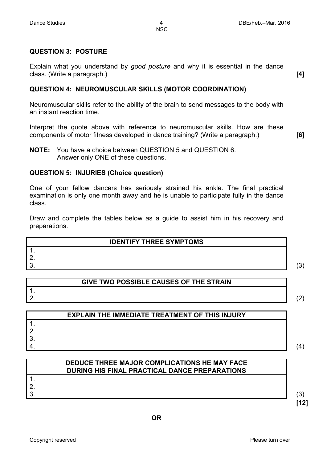**NSC** 

#### **QUESTION 3: POSTURE**

Explain what you understand by *good posture* and why it is essential in the dance class. (Write a paragraph.) **[4]**

#### **QUESTION 4: NEUROMUSCULAR SKILLS (MOTOR COORDINATION)**

Neuromuscular skills refer to the ability of the brain to send messages to the body with an instant reaction time.

Interpret the quote above with reference to neuromuscular skills. How are these components of motor fitness developed in dance training? (Write a paragraph.) **[6]**

**NOTE:** You have a choice between QUESTION 5 and QUESTION 6. Answer only ONE of these questions.

#### **QUESTION 5: INJURIES (Choice question)**

One of your fellow dancers has seriously strained his ankle. The final practical examination is only one month away and he is unable to participate fully in the dance class.

Draw and complete the tables below as a guide to assist him in his recovery and preparations.

| <b>IDENTIFY THREE SYMPTOMS</b> |   |
|--------------------------------|---|
|                                |   |
|                                |   |
|                                | ں |

# **GIVE TWO POSSIBLE CAUSES OF THE STRAIN**

2.  $\hspace{2.6cm} (2)$ 

 $\frac{1}{2}$ .

| <b>EXPLAIN THE IMMEDIATE TREATMENT OF THIS INJURY</b> |   |
|-------------------------------------------------------|---|
|                                                       |   |
|                                                       |   |
|                                                       |   |
|                                                       | 4 |

| DEDUCE THREE MAJOR COMPLICATIONS HE MAY FACE<br>DURING HIS FINAL PRACTICAL DANCE PREPARATIONS |  |
|-----------------------------------------------------------------------------------------------|--|
|                                                                                               |  |
|                                                                                               |  |
|                                                                                               |  |
|                                                                                               |  |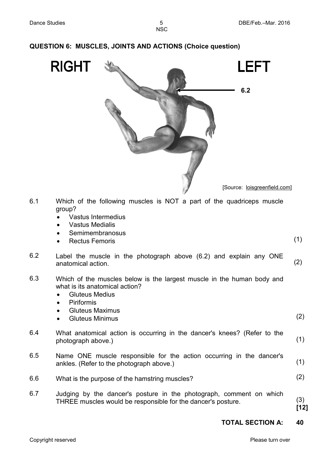|     | <b>LEFT</b><br><b>RIGHT</b><br>6.2                                                                                                                                                                  |            |
|-----|-----------------------------------------------------------------------------------------------------------------------------------------------------------------------------------------------------|------------|
|     | [Source: loisgreenfield.com]                                                                                                                                                                        |            |
| 6.1 | Which of the following muscles is NOT a part of the quadriceps muscle<br>group?<br>Vastus Intermedius<br><b>Vastus Medialis</b><br>Semimembranosus<br><b>Rectus Femoris</b>                         | (1)        |
| 6.2 | Label the muscle in the photograph above (6.2) and explain any ONE<br>anatomical action.                                                                                                            | (2)        |
| 6.3 | Which of the muscles below is the largest muscle in the human body and<br>what is its anatomical action?<br><b>Gluteus Medius</b><br>Piriformis<br><b>Gluteus Maximus</b><br><b>Gluteus Minimus</b> | (2)        |
| 6.4 | What anatomical action is occurring in the dancer's knees? (Refer to the<br>photograph above.)                                                                                                      | (1)        |
| 6.5 | Name ONE muscle responsible for the action occurring in the dancer's<br>ankles. (Refer to the photograph above.)                                                                                    | (1)        |
| 6.6 | What is the purpose of the hamstring muscles?                                                                                                                                                       | (2)        |
| 6.7 | Judging by the dancer's posture in the photograph, comment on which<br>THREE muscles would be responsible for the dancer's posture.                                                                 | (3)<br>[1] |
|     | <b>TOTAL SECTION A:</b>                                                                                                                                                                             | 40         |
|     |                                                                                                                                                                                                     |            |

# **QUESTION 6: MUSCLES, JOINTS AND ACTIONS (Choice question)**

(1)

(2)

(3) **[12]**

(2)

(1)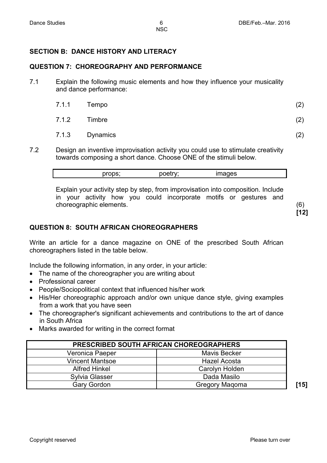# **SECTION B: DANCE HISTORY AND LITERACY**

#### **QUESTION 7: CHOREOGRAPHY AND PERFORMANCE**

7.1 Explain the following music elements and how they influence your musicality and dance performance:

| 7.1.1 Tempo    | (2) |
|----------------|-----|
| 7.1.2 Timbre   | (2) |
| 7.1.3 Dynamics |     |

7.2 Design an inventive improvisation activity you could use to stimulate creativity towards composing a short dance. Choose ONE of the stimuli below.

| nrono. | .                 | ---- |  |
|--------|-------------------|------|--|
|        | $\mathbf{f}$<br>м | w    |  |
| . .    |                   |      |  |

Explain your activity step by step, from improvisation into composition. Include in your activity how you could incorporate motifs or gestures and choreographic elements. (6)

**[12]**

#### **QUESTION 8: SOUTH AFRICAN CHOREOGRAPHERS**

Write an article for a dance magazine on ONE of the prescribed South African choreographers listed in the table below.

Include the following information, in any order, in your article:

- The name of the choreographer you are writing about
- Professional career
- People/Sociopolitical context that influenced his/her work
- His/Her choreographic approach and/or own unique dance style, giving examples from a work that you have seen
- The choreographer's significant achievements and contributions to the art of dance in South Africa
- Marks awarded for writing in the correct format

| <b>PRESCRIBED SOUTH AFRICAN CHOREOGRAPHERS</b> |                     |  |
|------------------------------------------------|---------------------|--|
| Veronica Paeper                                | <b>Mavis Becker</b> |  |
| <b>Vincent Mantsoe</b>                         | Hazel Acosta        |  |
| <b>Alfred Hinkel</b>                           | Carolyn Holden      |  |
| <b>Sylvia Glasser</b>                          | Dada Masilo         |  |
| <b>Gary Gordon</b>                             | Gregory Magoma      |  |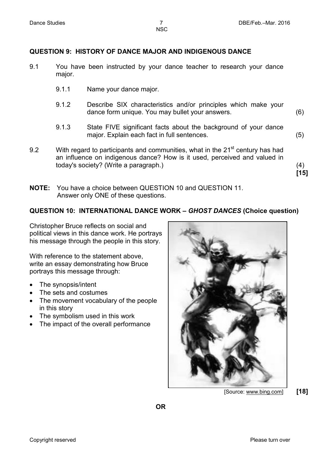**NSC** 

#### **QUESTION 9: HISTORY OF DANCE MAJOR AND INDIGENOUS DANCE**

- 9.1 You have been instructed by your dance teacher to research your dance major.
	- 9.1.1 Name your dance major.
	- 9.1.2 Describe SIX characteristics and/or principles which make your dance form unique. You may bullet your answers. (6)
	- 9.1.3 State FIVE significant facts about the background of your dance major. Explain each fact in full sentences.
- 9.2 With regard to participants and communities, what in the  $21<sup>st</sup>$  century has had an influence on indigenous dance? How is it used, perceived and valued in today's society? (Write a paragraph.) (4)
- **NOTE:** You have a choice between QUESTION 10 and QUESTION 11. Answer only ONE of these questions.

#### **QUESTION 10: INTERNATIONAL DANCE WORK –** *GHOST DANCES* **(Choice question)**

Christopher Bruce reflects on social and political views in this dance work. He portrays his message through the people in this story.

With reference to the statement above, write an essay demonstrating how Bruce portrays this message through:

- The synopsis/intent
- The sets and costumes
- The movement vocabulary of the people in this story
- The symbolism used in this work
- The impact of the overall performance



[Source: www.bing.com] **[18]**

(5)

**[15]**